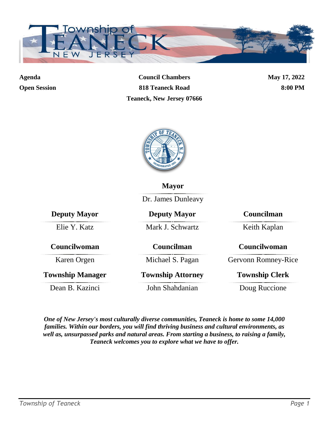

**Agenda Council Chambers May 17, 2022 Open Session 818 Teaneck Road 8:00 PM Teaneck, New Jersey 07666**



**Mayor** Dr. James Dunleavy

**Deputy Mayor**

Elie Y. Katz

**Councilwoman**

Karen Orgen

**Township Manager**

Dean B. Kazinci

**Deputy Mayor**

Mark J. Schwartz

**Councilman**

Michael S. Pagan

**Township Attorney**

John Shahdanian

**Councilman**

Keith Kaplan

**Councilwoman** 

Gervonn Romney-Rice

**Township Clerk**

Doug Ruccione

*One of New Jersey's most culturally diverse communities, Teaneck is home to some 14,000 families. Within our borders, you will find thriving business and cultural environments, as well as, unsurpassed parks and natural areas. From starting a business, to raising a family, Teaneck welcomes you to explore what we have to offer.*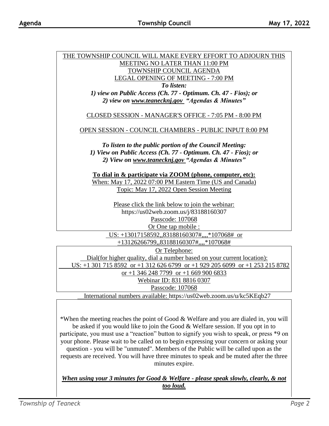| THE TOWNSHIP COUNCIL WILL MAKE EVERY EFFORT TO ADJOURN THIS                  |
|------------------------------------------------------------------------------|
| MEETING NO LATER THAN 11:00 PM                                               |
| TOWNSHIP COUNCIL AGENDA                                                      |
| LEGAL OPENING OF MEETING - 7:00 PM                                           |
| To listen:                                                                   |
| 1) view on Public Access (Ch. 77 - Optimum. Ch. 47 - Fios); or               |
| 2) view on www.teanecknj.gov "Agendas & Minutes"                             |
|                                                                              |
| CLOSED SESSION - MANAGER'S OFFICE - 7:05 PM - 8:00 PM                        |
|                                                                              |
| <b>OPEN SESSION - COUNCIL CHAMBERS - PUBLIC INPUT 8:00 PM</b>                |
|                                                                              |
| To listen to the public portion of the Council Meeting:                      |
| 1) View on Public Access (Ch. 77 - Optimum. Ch. 47 - Fios); or               |
| 2) View on www.teanecknj.gov "Agendas & Minutes"                             |
|                                                                              |
| To dial in & participate via ZOOM (phone, computer, etc):                    |
| When: May 17, 2022 07:00 PM Eastern Time (US and Canada)                     |
| Topic: May 17, 2022 Open Session Meeting                                     |
|                                                                              |
| Please click the link below to join the webinar:                             |
| https://us02web.zoom.us/j/83188160307                                        |
| Passcode: 107068                                                             |
| Or One tap mobile :                                                          |
| US: +13017158592,,83188160307#,,,,*107068# or                                |
| $+13126266799, 83188160307\text{#,}$ ,,,*107068#                             |
| Or Telephone:                                                                |
| Dial(for higher quality, dial a number based on your current location):      |
| US: +1 301 715 8592 or +1 312 626 6799 or +1 929 205 6099 or +1 253 215 8782 |
| or +1 346 248 7799 or +1 669 900 6833                                        |
| Webinar ID: 831 8816 0307                                                    |
| Passcode: 107068                                                             |
| International numbers available: https://us02web.zoom.us/u/kc5KEqb27         |

\*When the meeting reaches the point of Good & Welfare and you are dialed in, you will be asked if you would like to join the Good & Welfare session. If you opt in to participate, you must use a "reaction" button to signify you wish to speak, or press \*9 on your phone. Please wait to be called on to begin expressing your concern or asking your question - you will be "unmuted". Members of the Public will be called upon as the requests are received. You will have three minutes to speak and be muted after the three minutes expire.

*When using your 3 minutes for Good & Welfare - please speak slowly, clearly, & not too loud.*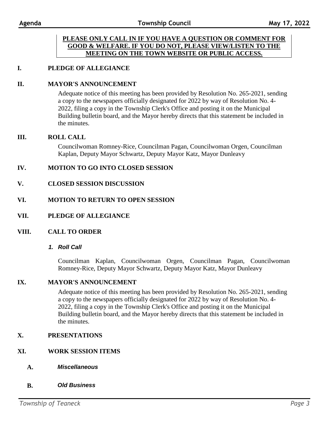### **PLEASE ONLY CALL IN IF YOU HAVE A QUESTION OR COMMENT FOR GOOD & WELFARE. IF YOU DO NOT, PLEASE VIEW/LISTEN TO THE MEETING ON THE TOWN WEBSITE OR PUBLIC ACCESS.**

### **I. PLEDGE OF ALLEGIANCE**

### **II. MAYOR'S ANNOUNCEMENT**

Adequate notice of this meeting has been provided by Resolution No. 265-2021, sending a copy to the newspapers officially designated for 2022 by way of Resolution No. 4- 2022, filing a copy in the Township Clerk's Office and posting it on the Municipal Building bulletin board, and the Mayor hereby directs that this statement be included in the minutes.

### **III. ROLL CALL**

Councilwoman Romney-Rice, Councilman Pagan, Councilwoman Orgen, Councilman Kaplan, Deputy Mayor Schwartz, Deputy Mayor Katz, Mayor Dunleavy

### **IV. MOTION TO GO INTO CLOSED SESSION**

### **V. CLOSED SESSION DISCUSSION**

### **VI. MOTION TO RETURN TO OPEN SESSION**

### **VII. PLEDGE OF ALLEGIANCE**

#### **VIII. CALL TO ORDER**

#### *1. Roll Call*

Councilman Kaplan, Councilwoman Orgen, Councilman Pagan, Councilwoman Romney-Rice, Deputy Mayor Schwartz, Deputy Mayor Katz, Mayor Dunleavy

#### **IX. MAYOR'S ANNOUNCEMENT**

Adequate notice of this meeting has been provided by Resolution No. 265-2021, sending a copy to the newspapers officially designated for 2022 by way of Resolution No. 4- 2022, filing a copy in the Township Clerk's Office and posting it on the Municipal Building bulletin board, and the Mayor hereby directs that this statement be included in the minutes.

# **X. PRESENTATIONS**

### **XI. WORK SESSION ITEMS**

- **A.** *Miscellaneous*
- **B.** *Old Business*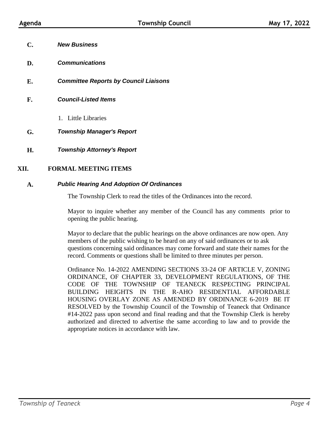- **D.** *Communications*
- **E.** *Committee Reports by Council Liaisons*
- **F.** *Council-Listed Items*
	- 1. Little Libraries
- **G.** *Township Manager's Report*
- **H.** *Township Attorney's Report*

### **XII. FORMAL MEETING ITEMS**

### **A.** *Public Hearing And Adoption Of Ordinances*

The Township Clerk to read the titles of the Ordinances into the record.

Mayor to inquire whether any member of the Council has any comments prior to opening the public hearing.

Mayor to declare that the public hearings on the above ordinances are now open. Any members of the public wishing to be heard on any of said ordinances or to ask questions concerning said ordinances may come forward and state their names for the record. Comments or questions shall be limited to three minutes per person.

Ordinance No. 14-2022 AMENDING SECTIONS 33-24 OF ARTICLE V, ZONING ORDINANCE, OF CHAPTER 33, DEVELOPMENT REGULATIONS, OF THE CODE OF THE TOWNSHIP OF TEANECK RESPECTING PRINCIPAL BUILDING HEIGHTS IN THE R-AHO RESIDENTIAL AFFORDABLE HOUSING OVERLAY ZONE AS AMENDED BY ORDINANCE 6-2019 BE IT RESOLVED by the Township Council of the Township of Teaneck that Ordinance #14-2022 pass upon second and final reading and that the Township Clerk is hereby authorized and directed to advertise the same according to law and to provide the appropriate notices in accordance with law.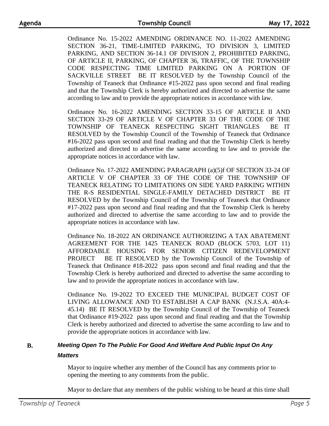Ordinance No. 15-2022 AMENDING ORDINANCE NO. 11-2022 AMENDING SECTION 36-21, TIME-LIMITED PARKING, TO DIVISION 3, LIMITED PARKING, AND SECTION 36-14.1 OF DIVISION 2, PROHIBITED PARKING, OF ARTICLE II, PARKING, OF CHAPTER 36, TRAFFIC, OF THE TOWNSHIP CODE RESPECTING TIME LIMITED PARKING ON A PORTION OF SACKVILLE STREET BE IT RESOLVED by the Township Council of the Township of Teaneck that Ordinance #15-2022 pass upon second and final reading and that the Township Clerk is hereby authorized and directed to advertise the same according to law and to provide the appropriate notices in accordance with law.

Ordinance No. 16-2022 AMENDING SECTION 33-15 OF ARTICLE II AND SECTION 33-29 OF ARTICLE V OF CHAPTER 33 OF THE CODE OF THE TOWNSHIP OF TEANECK RESPECTING SIGHT TRIANGLES BE IT RESOLVED by the Township Council of the Township of Teaneck that Ordinance #16-2022 pass upon second and final reading and that the Township Clerk is hereby authorized and directed to advertise the same according to law and to provide the appropriate notices in accordance with law.

Ordinance No. 17-2022 AMENDING PARAGRAPH (a)(5)f OF SECTION 33-24 OF ARTICLE V OF CHAPTER 33 OF THE CODE OF THE TOWNSHIP OF TEANECK RELATING TO LIMITATIONS ON SIDE YARD PARKING WITHIN THE R-S RESIDENTIAL SINGLE-FAMILY DETACHED DISTRICT BE IT RESOLVED by the Township Council of the Township of Teaneck that Ordinance #17-2022 pass upon second and final reading and that the Township Clerk is hereby authorized and directed to advertise the same according to law and to provide the appropriate notices in accordance with law.

Ordinance No. 18-2022 AN ORDINANCE AUTHORIZING A TAX ABATEMENT AGREEMENT FOR THE 1425 TEANECK ROAD (BLOCK 5703, LOT 11) AFFORDABLE HOUSING FOR SENIOR CITIZEN REDEVELOPMENT PROJECT BE IT RESOLVED by the Township Council of the Township of Teaneck that Ordinance #18-2022 pass upon second and final reading and that the Township Clerk is hereby authorized and directed to advertise the same according to law and to provide the appropriate notices in accordance with law.

Ordinance No. 19-2022 TO EXCEED THE MUNICIPAL BUDGET COST OF LIVING ALLOWANCE AND TO ESTABLISH A CAP BANK (N.J.S.A. 40A:4- 45.14) BE IT RESOLVED by the Township Council of the Township of Teaneck that Ordinance #19-2022 pass upon second and final reading and that the Township Clerk is hereby authorized and directed to advertise the same according to law and to provide the appropriate notices in accordance with law.

# **B.** *Meeting Open To The Public For Good And Welfare And Public Input On Any Matters*

Mayor to inquire whether any member of the Council has any comments prior to opening the meeting to any comments from the public.

Mayor to declare that any members of the public wishing to be heard at this time shall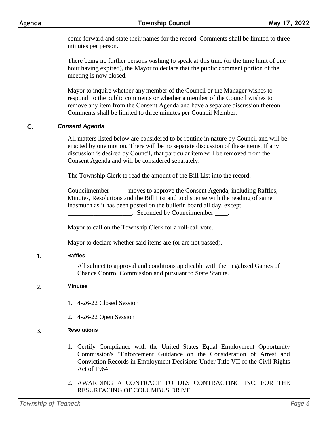come forward and state their names for the record. Comments shall be limited to three minutes per person.

There being no further persons wishing to speak at this time (or the time limit of one hour having expired), the Mayor to declare that the public comment portion of the meeting is now closed.

Mayor to inquire whether any member of the Council or the Manager wishes to respond to the public comments or whether a member of the Council wishes to remove any item from the Consent Agenda and have a separate discussion thereon. Comments shall be limited to three minutes per Council Member.

# **C.** *Consent Agenda*

All matters listed below are considered to be routine in nature by Council and will be enacted by one motion. There will be no separate discussion of these items. If any discussion is desired by Council, that particular item will be removed from the Consent Agenda and will be considered separately.

The Township Clerk to read the amount of the Bill List into the record.

Councilmember \_\_\_\_\_ moves to approve the Consent Agenda, including Raffles, Minutes, Resolutions and the Bill List and to dispense with the reading of same inasmuch as it has been posted on the bulletin board all day, except \_\_\_\_\_\_\_\_\_\_\_\_\_\_\_\_\_\_\_\_. Seconded by Councilmember \_\_\_\_.

Mayor to call on the Township Clerk for a roll-call vote.

Mayor to declare whether said items are (or are not passed).

## **1. Raffles**

All subject to approval and conditions applicable with the Legalized Games of Chance Control Commission and pursuant to State Statute.

## **2. Minutes**

- 1. 4-26-22 Closed Session
- 2. 4-26-22 Open Session

## **3. Resolutions**

- 1. Certify Compliance with the United States Equal Employment Opportunity Commission's "Enforcement Guidance on the Consideration of Arrest and Conviction Records in Employment Decisions Under Title VII of the Civil Rights Act of 1964"
- 2. AWARDING A CONTRACT TO DLS CONTRACTING INC. FOR THE RESURFACING OF COLUMBUS DRIVE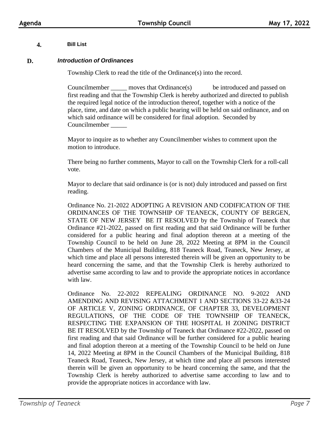# **4. Bill List**

## **D.** *Introduction of Ordinances*

Township Clerk to read the title of the Ordinance(s) into the record.

Councilmember moves that Ordinance(s) be introduced and passed on first reading and that the Township Clerk is hereby authorized and directed to publish the required legal notice of the introduction thereof, together with a notice of the place, time, and date on which a public hearing will be held on said ordinance, and on which said ordinance will be considered for final adoption. Seconded by Councilmember \_\_\_\_\_

Mayor to inquire as to whether any Councilmember wishes to comment upon the motion to introduce.

There being no further comments, Mayor to call on the Township Clerk for a roll-call vote.

Mayor to declare that said ordinance is (or is not) duly introduced and passed on first reading.

Ordinance No. 21-2022 ADOPTING A REVISION AND CODIFICATION OF THE ORDINANCES OF THE TOWNSHIP OF TEANECK, COUNTY OF BERGEN, STATE OF NEW JERSEY BE IT RESOLVED by the Township of Teaneck that Ordinance #21-2022, passed on first reading and that said Ordinance will be further considered for a public hearing and final adoption thereon at a meeting of the Township Council to be held on June 28, 2022 Meeting at 8PM in the Council Chambers of the Municipal Building, 818 Teaneck Road, Teaneck, New Jersey, at which time and place all persons interested therein will be given an opportunity to be heard concerning the same, and that the Township Clerk is hereby authorized to advertise same according to law and to provide the appropriate notices in accordance with law.

Ordinance No. 22-2022 REPEALING ORDINANCE NO. 9-2022 AND AMENDING AND REVISING ATTACHMENT 1 AND SECTIONS 33-22 &33-24 OF ARTICLE V, ZONING ORDINANCE, OF CHAPTER 33, DEVELOPMENT REGULATIONS, OF THE CODE OF THE TOWNSHIP OF TEANECK, RESPECTING THE EXPANSION OF THE HOSPITAL H ZONING DISTRICT BE IT RESOLVED by the Township of Teaneck that Ordinance #22-2022, passed on first reading and that said Ordinance will be further considered for a public hearing and final adoption thereon at a meeting of the Township Council to be held on June 14, 2022 Meeting at 8PM in the Council Chambers of the Municipal Building, 818 Teaneck Road, Teaneck, New Jersey, at which time and place all persons interested therein will be given an opportunity to be heard concerning the same, and that the Township Clerk is hereby authorized to advertise same according to law and to provide the appropriate notices in accordance with law.